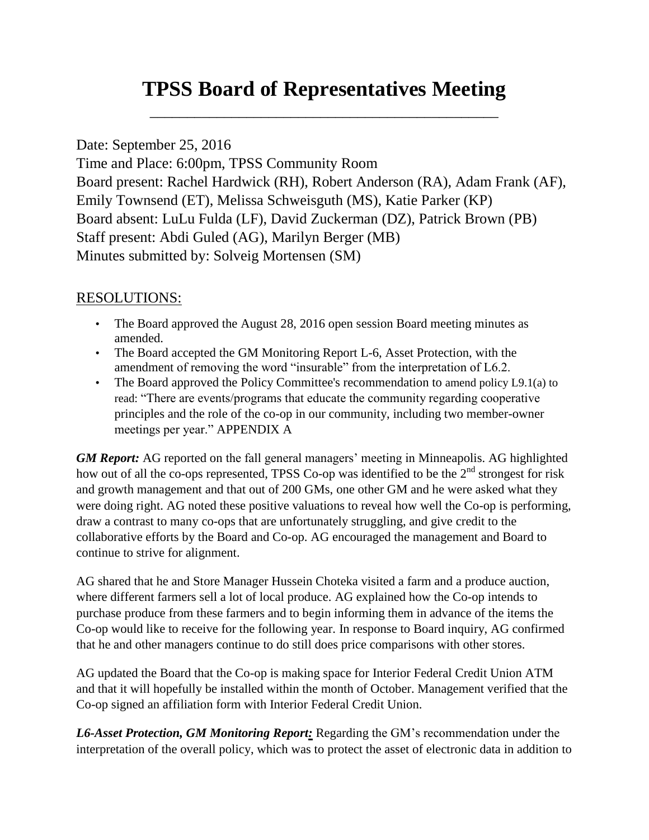# **TPSS Board of Representatives Meeting**

\_\_\_\_\_\_\_\_\_\_\_\_\_\_\_\_\_\_\_\_\_\_\_\_\_\_\_\_\_\_\_\_\_\_\_\_\_\_\_\_\_\_\_\_\_\_\_

### Date: September 25, 2016

Time and Place: 6:00pm, TPSS Community Room Board present: Rachel Hardwick (RH), Robert Anderson (RA), Adam Frank (AF), Emily Townsend (ET), Melissa Schweisguth (MS), Katie Parker (KP) Board absent: LuLu Fulda (LF), David Zuckerman (DZ), Patrick Brown (PB) Staff present: Abdi Guled (AG), Marilyn Berger (MB) Minutes submitted by: Solveig Mortensen (SM)

## RESOLUTIONS:

- The Board approved the August 28, 2016 open session Board meeting minutes as amended.
- The Board accepted the GM Monitoring Report L-6, Asset Protection, with the amendment of removing the word "insurable" from the interpretation of L6.2.
- The Board approved the Policy Committee's recommendation to amend policy L9.1(a) to read: "There are events/programs that educate the community regarding cooperative principles and the role of the co-op in our community, including two member-owner meetings per year." APPENDIX A

*GM Report:* AG reported on the fall general managers' meeting in Minneapolis. AG highlighted how out of all the co-ops represented, TPSS Co-op was identified to be the  $2<sup>nd</sup>$  strongest for risk and growth management and that out of 200 GMs, one other GM and he were asked what they were doing right. AG noted these positive valuations to reveal how well the Co-op is performing, draw a contrast to many co-ops that are unfortunately struggling, and give credit to the collaborative efforts by the Board and Co-op. AG encouraged the management and Board to continue to strive for alignment.

AG shared that he and Store Manager Hussein Choteka visited a farm and a produce auction, where different farmers sell a lot of local produce. AG explained how the Co-op intends to purchase produce from these farmers and to begin informing them in advance of the items the Co-op would like to receive for the following year. In response to Board inquiry, AG confirmed that he and other managers continue to do still does price comparisons with other stores.

AG updated the Board that the Co-op is making space for Interior Federal Credit Union ATM and that it will hopefully be installed within the month of October. Management verified that the Co-op signed an affiliation form with Interior Federal Credit Union.

*L6-Asset Protection, GM Monitoring Report:* Regarding the GM's recommendation under the interpretation of the overall policy, which was to protect the asset of electronic data in addition to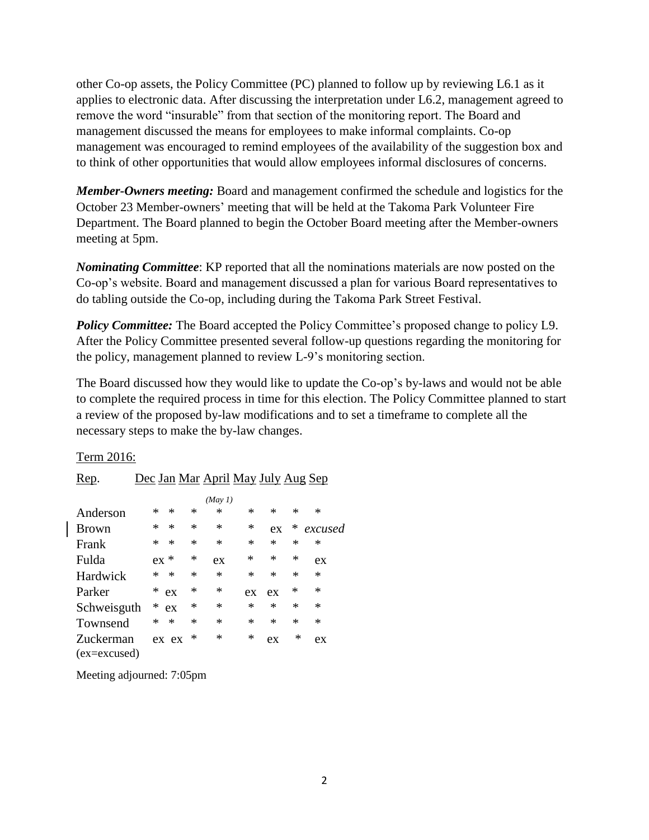other Co-op assets, the Policy Committee (PC) planned to follow up by reviewing L6.1 as it applies to electronic data. After discussing the interpretation under L6.2, management agreed to remove the word "insurable" from that section of the monitoring report. The Board and management discussed the means for employees to make informal complaints. Co-op management was encouraged to remind employees of the availability of the suggestion box and to think of other opportunities that would allow employees informal disclosures of concerns.

*Member-Owners meeting:* Board and management confirmed the schedule and logistics for the October 23 Member-owners' meeting that will be held at the Takoma Park Volunteer Fire Department. The Board planned to begin the October Board meeting after the Member-owners meeting at 5pm.

*Nominating Committee*: KP reported that all the nominations materials are now posted on the Co-op's website. Board and management discussed a plan for various Board representatives to do tabling outside the Co-op, including during the Takoma Park Street Festival.

*Policy Committee:* The Board accepted the Policy Committee's proposed change to policy L9. After the Policy Committee presented several follow-up questions regarding the monitoring for the policy, management planned to review L-9's monitoring section.

The Board discussed how they would like to update the Co-op's by-laws and would not be able to complete the required process in time for this election. The Policy Committee planned to start a review of the proposed by-law modifications and to set a timeframe to complete all the necessary steps to make the by-law changes.

#### Term 2016:

| Rep.                        | <u>Dec Jan Mar April May July Aug Sep</u> |        |        |         |        |        |        |         |
|-----------------------------|-------------------------------------------|--------|--------|---------|--------|--------|--------|---------|
|                             |                                           |        |        | (May 1) |        |        |        |         |
| Anderson                    | ∗                                         | $\ast$ | ∗      | ∗       | *      | *      | *      | *       |
| <b>Brown</b>                | ∗                                         | $\ast$ | $\ast$ | $\ast$  | ∗      | ex     | ∗      | excused |
| Frank                       | *                                         | $\ast$ | $\ast$ | $\ast$  | *      | ∗      | $\ast$ | *       |
| Fulda                       | ex                                        | ∗      | *      | ex      | *      | *      | $\ast$ | ex      |
| Hardwick                    | *                                         | $\ast$ | *      | $\ast$  | *      | *      | $\ast$ | *       |
| Parker                      | *                                         | ex     | *      | *       | ex     | ex     | ∗      | ∗       |
| Schweisguth                 | *                                         | ex     | *      | *       | $\ast$ | $\ast$ | ∗      | *       |
| Townsend                    | *                                         | $\ast$ | *      | $\ast$  | *      | *      | ∗      | *       |
| Zuckerman<br>$(ex=excused)$ |                                           | ex ex  | ∗      | ∗       | $\ast$ | ex     | ∗      | ex      |

Meeting adjourned: 7:05pm